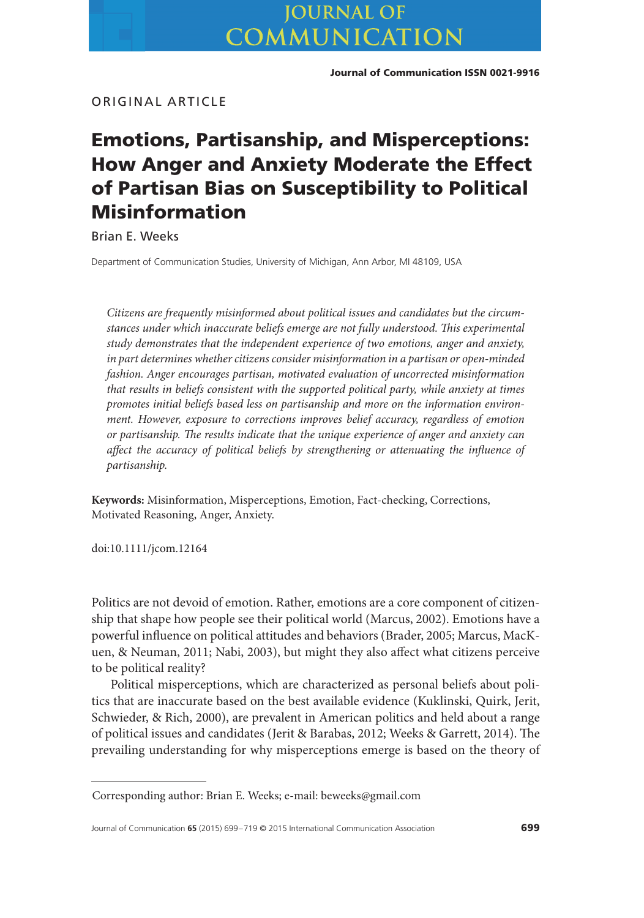

# ORIGINAL ARTICLE

# **Emotions, Partisanship, and Misperceptions: How Anger and Anxiety Moderate the Effect of Partisan Bias on Susceptibility to Political Misinformation**

Brian E. Weeks

Department of Communication Studies, University of Michigan, Ann Arbor, MI 48109, USA

*Citizens are frequently misinformed about political issues and candidates but the circumstances under which inaccurate beliefs emerge are not fully understood. This experimental study demonstrates that the independent experience of two emotions, anger and anxiety, in part determines whether citizens consider misinformation in a partisan or open-minded fashion. Anger encourages partisan, motivated evaluation of uncorrected misinformation that results in beliefs consistent with the supported political party, while anxiety at times promotes initial beliefs based less on partisanship and more on the information environment. However, exposure to corrections improves belief accuracy, regardless of emotion or partisanship. The results indicate that the unique experience of anger and anxiety can affect the accuracy of political beliefs by strengthening or attenuating the influence of partisanship.*

**Keywords:** Misinformation, Misperceptions, Emotion, Fact-checking, Corrections, Motivated Reasoning, Anger, Anxiety.

doi:10.1111/jcom.12164

Politics are not devoid of emotion. Rather, emotions are a core component of citizenship that shape how people see their political world (Marcus, 2002). Emotions have a powerful influence on political attitudes and behaviors (Brader, 2005; Marcus, MacKuen, & Neuman, 2011; Nabi, 2003), but might they also affect what citizens perceive to be political reality?

Political misperceptions, which are characterized as personal beliefs about politics that are inaccurate based on the best available evidence (Kuklinski, Quirk, Jerit, Schwieder, & Rich, 2000), are prevalent in American politics and held about a range of political issues and candidates (Jerit & Barabas, 2012; Weeks & Garrett, 2014). The prevailing understanding for why misperceptions emerge is based on the theory of

Corresponding author: Brian E. Weeks; e-mail: beweeks@gmail.com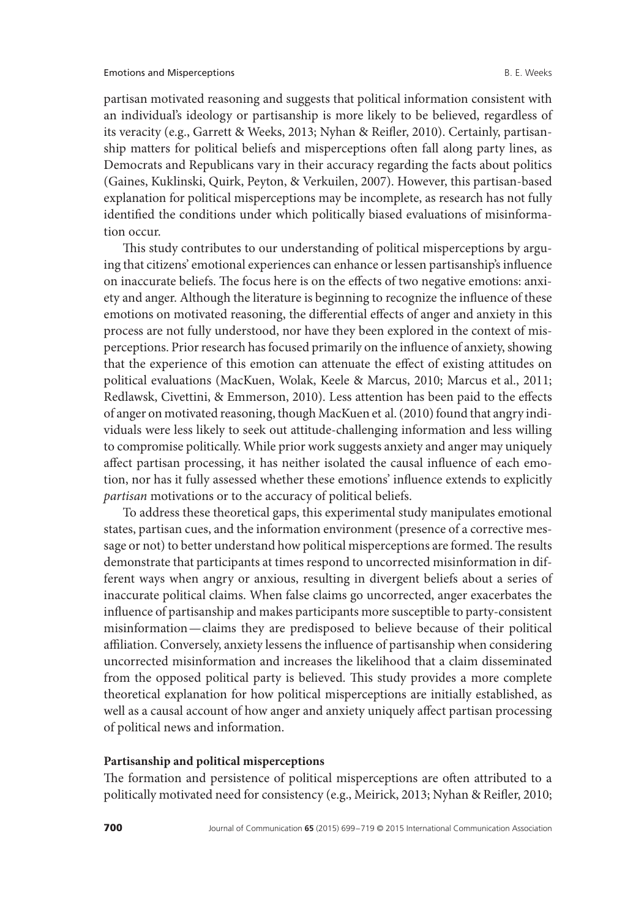partisan motivated reasoning and suggests that political information consistent with an individual's ideology or partisanship is more likely to be believed, regardless of its veracity (e.g., Garrett & Weeks, 2013; Nyhan & Reifler, 2010). Certainly, partisanship matters for political beliefs and misperceptions often fall along party lines, as Democrats and Republicans vary in their accuracy regarding the facts about politics (Gaines, Kuklinski, Quirk, Peyton, & Verkuilen, 2007). However, this partisan-based explanation for political misperceptions may be incomplete, as research has not fully identified the conditions under which politically biased evaluations of misinformation occur.

This study contributes to our understanding of political misperceptions by arguing that citizens' emotional experiences can enhance or lessen partisanship's influence on inaccurate beliefs. The focus here is on the effects of two negative emotions: anxiety and anger. Although the literature is beginning to recognize the influence of these emotions on motivated reasoning, the differential effects of anger and anxiety in this process are not fully understood, nor have they been explored in the context of misperceptions. Prior research has focused primarily on the influence of anxiety, showing that the experience of this emotion can attenuate the effect of existing attitudes on political evaluations (MacKuen, Wolak, Keele & Marcus, 2010; Marcus et al., 2011; Redlawsk, Civettini, & Emmerson, 2010). Less attention has been paid to the effects of anger on motivated reasoning, though MacKuen et al. (2010) found that angry individuals were less likely to seek out attitude-challenging information and less willing to compromise politically. While prior work suggests anxiety and anger may uniquely affect partisan processing, it has neither isolated the causal influence of each emotion, nor has it fully assessed whether these emotions' influence extends to explicitly *partisan* motivations or to the accuracy of political beliefs.

To address these theoretical gaps, this experimental study manipulates emotional states, partisan cues, and the information environment (presence of a corrective message or not) to better understand how political misperceptions are formed. The results demonstrate that participants at times respond to uncorrected misinformation in different ways when angry or anxious, resulting in divergent beliefs about a series of inaccurate political claims. When false claims go uncorrected, anger exacerbates the influence of partisanship and makes participants more susceptible to party-consistent misinformation—claims they are predisposed to believe because of their political affiliation. Conversely, anxiety lessens the influence of partisanship when considering uncorrected misinformation and increases the likelihood that a claim disseminated from the opposed political party is believed. This study provides a more complete theoretical explanation for how political misperceptions are initially established, as well as a causal account of how anger and anxiety uniquely affect partisan processing of political news and information.

#### **Partisanship and political misperceptions**

The formation and persistence of political misperceptions are often attributed to a politically motivated need for consistency (e.g., Meirick, 2013; Nyhan & Reifler, 2010;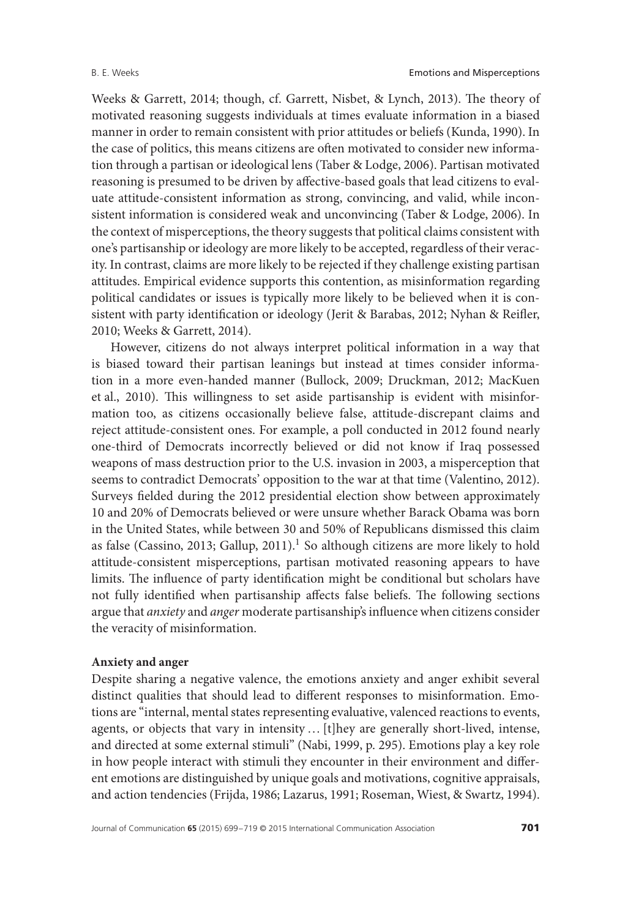Weeks & Garrett, 2014; though, cf. Garrett, Nisbet, & Lynch, 2013). The theory of motivated reasoning suggests individuals at times evaluate information in a biased manner in order to remain consistent with prior attitudes or beliefs (Kunda, 1990). In the case of politics, this means citizens are often motivated to consider new information through a partisan or ideological lens (Taber & Lodge, 2006). Partisan motivated reasoning is presumed to be driven by affective-based goals that lead citizens to evaluate attitude-consistent information as strong, convincing, and valid, while inconsistent information is considered weak and unconvincing (Taber & Lodge, 2006). In the context of misperceptions, the theory suggests that political claims consistent with one's partisanship or ideology are more likely to be accepted, regardless of their veracity. In contrast, claims are more likely to be rejected if they challenge existing partisan attitudes. Empirical evidence supports this contention, as misinformation regarding political candidates or issues is typically more likely to be believed when it is consistent with party identification or ideology (Jerit & Barabas, 2012; Nyhan & Reifler, 2010; Weeks & Garrett, 2014).

However, citizens do not always interpret political information in a way that is biased toward their partisan leanings but instead at times consider information in a more even-handed manner (Bullock, 2009; Druckman, 2012; MacKuen et al., 2010). This willingness to set aside partisanship is evident with misinformation too, as citizens occasionally believe false, attitude-discrepant claims and reject attitude-consistent ones. For example, a poll conducted in 2012 found nearly one-third of Democrats incorrectly believed or did not know if Iraq possessed weapons of mass destruction prior to the U.S. invasion in 2003, a misperception that seems to contradict Democrats' opposition to the war at that time (Valentino, 2012). Surveys fielded during the 2012 presidential election show between approximately 10 and 20% of Democrats believed or were unsure whether Barack Obama was born in the United States, while between 30 and 50% of Republicans dismissed this claim as false (Cassino, 2013; Gallup, 2011).<sup>1</sup> So although citizens are more likely to hold attitude-consistent misperceptions, partisan motivated reasoning appears to have limits. The influence of party identification might be conditional but scholars have not fully identified when partisanship affects false beliefs. The following sections argue that *anxiety* and *anger* moderate partisanship's influence when citizens consider the veracity of misinformation.

#### **Anxiety and anger**

Despite sharing a negative valence, the emotions anxiety and anger exhibit several distinct qualities that should lead to different responses to misinformation. Emotions are "internal, mental states representing evaluative, valenced reactions to events, agents, or objects that vary in intensity…[t]hey are generally short-lived, intense, and directed at some external stimuli" (Nabi, 1999, p. 295). Emotions play a key role in how people interact with stimuli they encounter in their environment and different emotions are distinguished by unique goals and motivations, cognitive appraisals, and action tendencies (Frijda, 1986; Lazarus, 1991; Roseman, Wiest, & Swartz, 1994).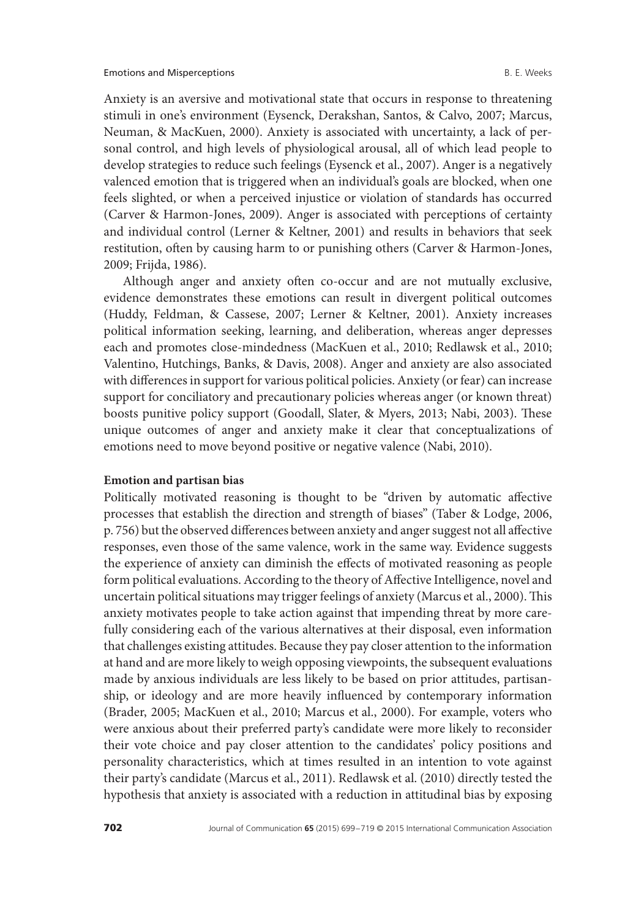Anxiety is an aversive and motivational state that occurs in response to threatening stimuli in one's environment (Eysenck, Derakshan, Santos, & Calvo, 2007; Marcus, Neuman, & MacKuen, 2000). Anxiety is associated with uncertainty, a lack of personal control, and high levels of physiological arousal, all of which lead people to develop strategies to reduce such feelings (Eysenck et al., 2007). Anger is a negatively valenced emotion that is triggered when an individual's goals are blocked, when one feels slighted, or when a perceived injustice or violation of standards has occurred (Carver & Harmon-Jones, 2009). Anger is associated with perceptions of certainty and individual control (Lerner & Keltner, 2001) and results in behaviors that seek restitution, often by causing harm to or punishing others (Carver & Harmon-Jones, 2009; Frijda, 1986).

Although anger and anxiety often co-occur and are not mutually exclusive, evidence demonstrates these emotions can result in divergent political outcomes (Huddy, Feldman, & Cassese, 2007; Lerner & Keltner, 2001). Anxiety increases political information seeking, learning, and deliberation, whereas anger depresses each and promotes close-mindedness (MacKuen et al., 2010; Redlawsk et al., 2010; Valentino, Hutchings, Banks, & Davis, 2008). Anger and anxiety are also associated with differences in support for various political policies. Anxiety (or fear) can increase support for conciliatory and precautionary policies whereas anger (or known threat) boosts punitive policy support (Goodall, Slater, & Myers, 2013; Nabi, 2003). These unique outcomes of anger and anxiety make it clear that conceptualizations of emotions need to move beyond positive or negative valence (Nabi, 2010).

#### **Emotion and partisan bias**

Politically motivated reasoning is thought to be "driven by automatic affective processes that establish the direction and strength of biases" (Taber & Lodge, 2006, p. 756) but the observed differences between anxiety and anger suggest not all affective responses, even those of the same valence, work in the same way. Evidence suggests the experience of anxiety can diminish the effects of motivated reasoning as people form political evaluations. According to the theory of Affective Intelligence, novel and uncertain political situations may trigger feelings of anxiety (Marcus et al., 2000).This anxiety motivates people to take action against that impending threat by more carefully considering each of the various alternatives at their disposal, even information that challenges existing attitudes. Because they pay closer attention to the information at hand and are more likely to weigh opposing viewpoints, the subsequent evaluations made by anxious individuals are less likely to be based on prior attitudes, partisanship, or ideology and are more heavily influenced by contemporary information (Brader, 2005; MacKuen et al., 2010; Marcus et al., 2000). For example, voters who were anxious about their preferred party's candidate were more likely to reconsider their vote choice and pay closer attention to the candidates' policy positions and personality characteristics, which at times resulted in an intention to vote against their party's candidate (Marcus et al., 2011). Redlawsk et al. (2010) directly tested the hypothesis that anxiety is associated with a reduction in attitudinal bias by exposing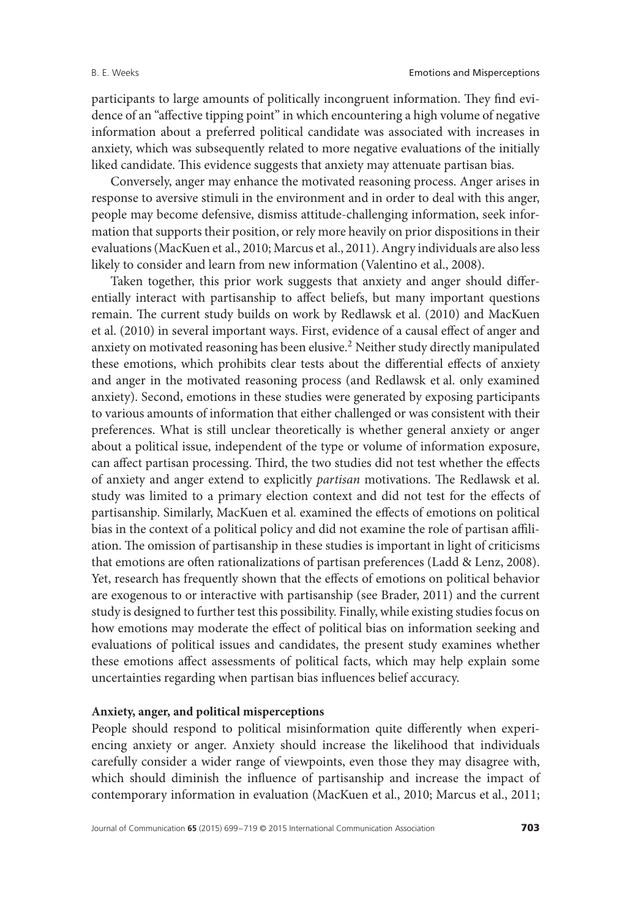participants to large amounts of politically incongruent information. They find evidence of an "affective tipping point" in which encountering a high volume of negative information about a preferred political candidate was associated with increases in anxiety, which was subsequently related to more negative evaluations of the initially liked candidate. This evidence suggests that anxiety may attenuate partisan bias.

Conversely, anger may enhance the motivated reasoning process. Anger arises in response to aversive stimuli in the environment and in order to deal with this anger, people may become defensive, dismiss attitude-challenging information, seek information that supports their position, or rely more heavily on prior dispositions in their evaluations (MacKuen et al., 2010; Marcus et al., 2011). Angry individuals are also less likely to consider and learn from new information (Valentino et al., 2008).

Taken together, this prior work suggests that anxiety and anger should differentially interact with partisanship to affect beliefs, but many important questions remain. The current study builds on work by Redlawsk et al. (2010) and MacKuen et al. (2010) in several important ways. First, evidence of a causal effect of anger and anxiety on motivated reasoning has been elusive.<sup>2</sup> Neither study directly manipulated these emotions, which prohibits clear tests about the differential effects of anxiety and anger in the motivated reasoning process (and Redlawsk et al. only examined anxiety). Second, emotions in these studies were generated by exposing participants to various amounts of information that either challenged or was consistent with their preferences. What is still unclear theoretically is whether general anxiety or anger about a political issue, independent of the type or volume of information exposure, can affect partisan processing. Third, the two studies did not test whether the effects of anxiety and anger extend to explicitly *partisan* motivations. The Redlawsk et al. study was limited to a primary election context and did not test for the effects of partisanship. Similarly, MacKuen et al. examined the effects of emotions on political bias in the context of a political policy and did not examine the role of partisan affiliation. The omission of partisanship in these studies is important in light of criticisms that emotions are often rationalizations of partisan preferences (Ladd & Lenz, 2008). Yet, research has frequently shown that the effects of emotions on political behavior are exogenous to or interactive with partisanship (see Brader, 2011) and the current study is designed to further test this possibility. Finally, while existing studies focus on how emotions may moderate the effect of political bias on information seeking and evaluations of political issues and candidates, the present study examines whether these emotions affect assessments of political facts, which may help explain some uncertainties regarding when partisan bias influences belief accuracy.

#### **Anxiety, anger, and political misperceptions**

People should respond to political misinformation quite differently when experiencing anxiety or anger. Anxiety should increase the likelihood that individuals carefully consider a wider range of viewpoints, even those they may disagree with, which should diminish the influence of partisanship and increase the impact of contemporary information in evaluation (MacKuen et al., 2010; Marcus et al., 2011;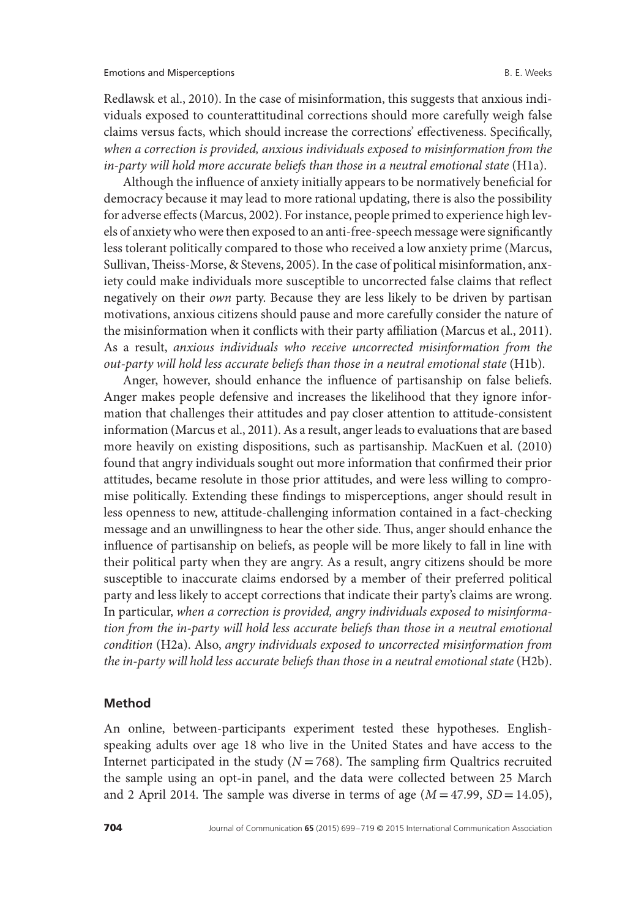Redlawsk et al., 2010). In the case of misinformation, this suggests that anxious individuals exposed to counterattitudinal corrections should more carefully weigh false claims versus facts, which should increase the corrections' effectiveness. Specifically, *when a correction is provided, anxious individuals exposed to misinformation from the in-party will hold more accurate beliefs than those in a neutral emotional state* (H1a).

Although the influence of anxiety initially appears to be normatively beneficial for democracy because it may lead to more rational updating, there is also the possibility for adverse effects (Marcus, 2002). For instance, people primed to experience high levels of anxiety who were then exposed to an anti-free-speech message were significantly less tolerant politically compared to those who received a low anxiety prime (Marcus, Sullivan, Theiss-Morse, & Stevens, 2005). In the case of political misinformation, anxiety could make individuals more susceptible to uncorrected false claims that reflect negatively on their *own* party. Because they are less likely to be driven by partisan motivations, anxious citizens should pause and more carefully consider the nature of the misinformation when it conflicts with their party affiliation (Marcus et al., 2011). As a result, *anxious individuals who receive uncorrected misinformation from the out-party will hold less accurate beliefs than those in a neutral emotional state* (H1b).

Anger, however, should enhance the influence of partisanship on false beliefs. Anger makes people defensive and increases the likelihood that they ignore information that challenges their attitudes and pay closer attention to attitude-consistent information (Marcus et al., 2011). As a result, anger leads to evaluations that are based more heavily on existing dispositions, such as partisanship. MacKuen et al. (2010) found that angry individuals sought out more information that confirmed their prior attitudes, became resolute in those prior attitudes, and were less willing to compromise politically. Extending these findings to misperceptions, anger should result in less openness to new, attitude-challenging information contained in a fact-checking message and an unwillingness to hear the other side. Thus, anger should enhance the influence of partisanship on beliefs, as people will be more likely to fall in line with their political party when they are angry. As a result, angry citizens should be more susceptible to inaccurate claims endorsed by a member of their preferred political party and less likely to accept corrections that indicate their party's claims are wrong. In particular, *when a correction is provided, angry individuals exposed to misinformation from the in-party will hold less accurate beliefs than those in a neutral emotional condition* (H2a). Also, *angry individuals exposed to uncorrected misinformation from the in-party will hold less accurate beliefs than those in a neutral emotional state* (H2b).

# **Method**

An online, between-participants experiment tested these hypotheses. Englishspeaking adults over age 18 who live in the United States and have access to the Internet participated in the study  $(N = 768)$ . The sampling firm Qualtrics recruited the sample using an opt-in panel, and the data were collected between 25 March and 2 April 2014. The sample was diverse in terms of age  $(M = 47.99, SD = 14.05)$ ,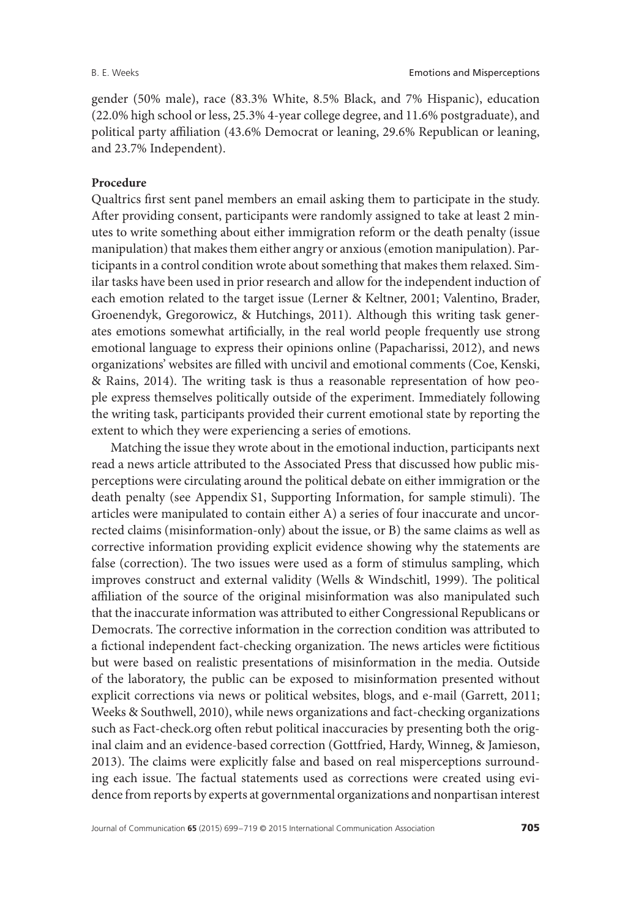gender (50% male), race (83.3% White, 8.5% Black, and 7% Hispanic), education (22.0% high school or less, 25.3% 4-year college degree, and 11.6% postgraduate), and political party affiliation (43.6% Democrat or leaning, 29.6% Republican or leaning, and 23.7% Independent).

# **Procedure**

Qualtrics first sent panel members an email asking them to participate in the study. After providing consent, participants were randomly assigned to take at least 2 minutes to write something about either immigration reform or the death penalty (issue manipulation) that makes them either angry or anxious (emotion manipulation). Participants in a control condition wrote about something that makes them relaxed. Similar tasks have been used in prior research and allow for the independent induction of each emotion related to the target issue (Lerner & Keltner, 2001; Valentino, Brader, Groenendyk, Gregorowicz, & Hutchings, 2011). Although this writing task generates emotions somewhat artificially, in the real world people frequently use strong emotional language to express their opinions online (Papacharissi, 2012), and news organizations' websites are filled with uncivil and emotional comments (Coe, Kenski, & Rains, 2014). The writing task is thus a reasonable representation of how people express themselves politically outside of the experiment. Immediately following the writing task, participants provided their current emotional state by reporting the extent to which they were experiencing a series of emotions.

Matching the issue they wrote about in the emotional induction, participants next read a news article attributed to the Associated Press that discussed how public misperceptions were circulating around the political debate on either immigration or the death penalty (see Appendix S1, Supporting Information, for sample stimuli). The articles were manipulated to contain either A) a series of four inaccurate and uncorrected claims (misinformation-only) about the issue, or B) the same claims as well as corrective information providing explicit evidence showing why the statements are false (correction). The two issues were used as a form of stimulus sampling, which improves construct and external validity (Wells & Windschitl, 1999). The political affiliation of the source of the original misinformation was also manipulated such that the inaccurate information was attributed to either Congressional Republicans or Democrats. The corrective information in the correction condition was attributed to a fictional independent fact-checking organization. The news articles were fictitious but were based on realistic presentations of misinformation in the media. Outside of the laboratory, the public can be exposed to misinformation presented without explicit corrections via news or political websites, blogs, and e-mail (Garrett, 2011; Weeks & Southwell, 2010), while news organizations and fact-checking organizations such as Fact-check.org often rebut political inaccuracies by presenting both the original claim and an evidence-based correction (Gottfried, Hardy, Winneg, & Jamieson, 2013). The claims were explicitly false and based on real misperceptions surrounding each issue. The factual statements used as corrections were created using evidence from reports by experts at governmental organizations and nonpartisan interest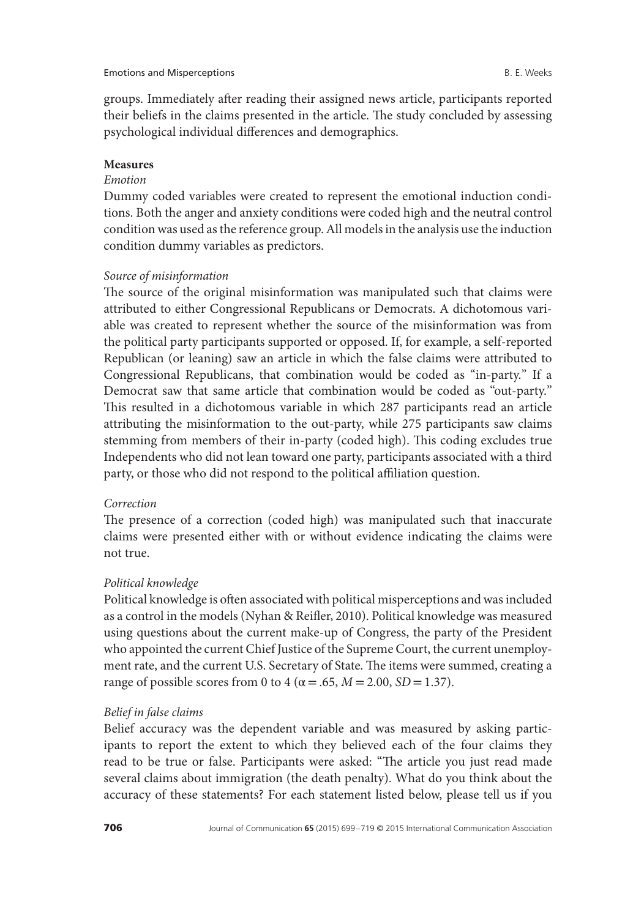groups. Immediately after reading their assigned news article, participants reported their beliefs in the claims presented in the article. The study concluded by assessing psychological individual differences and demographics.

#### **Measures**

# *Emotion*

Dummy coded variables were created to represent the emotional induction conditions. Both the anger and anxiety conditions were coded high and the neutral control condition was used as the reference group. All models in the analysis use the induction condition dummy variables as predictors.

#### *Source of misinformation*

The source of the original misinformation was manipulated such that claims were attributed to either Congressional Republicans or Democrats. A dichotomous variable was created to represent whether the source of the misinformation was from the political party participants supported or opposed. If, for example, a self-reported Republican (or leaning) saw an article in which the false claims were attributed to Congressional Republicans, that combination would be coded as "in-party." If a Democrat saw that same article that combination would be coded as "out-party." This resulted in a dichotomous variable in which 287 participants read an article attributing the misinformation to the out-party, while 275 participants saw claims stemming from members of their in-party (coded high). This coding excludes true Independents who did not lean toward one party, participants associated with a third party, or those who did not respond to the political affiliation question.

### *Correction*

The presence of a correction (coded high) was manipulated such that inaccurate claims were presented either with or without evidence indicating the claims were not true.

# *Political knowledge*

Political knowledge is often associated with political misperceptions and was included as a control in the models (Nyhan & Reifler, 2010). Political knowledge was measured using questions about the current make-up of Congress, the party of the President who appointed the current Chief Justice of the Supreme Court, the current unemployment rate, and the current U.S. Secretary of State. The items were summed, creating a range of possible scores from 0 to 4 ( $\alpha$  = .65,  $M$  = 2.00, *SD* = 1.37).

#### *Belief in false claims*

Belief accuracy was the dependent variable and was measured by asking participants to report the extent to which they believed each of the four claims they read to be true or false. Participants were asked: "The article you just read made several claims about immigration (the death penalty). What do you think about the accuracy of these statements? For each statement listed below, please tell us if you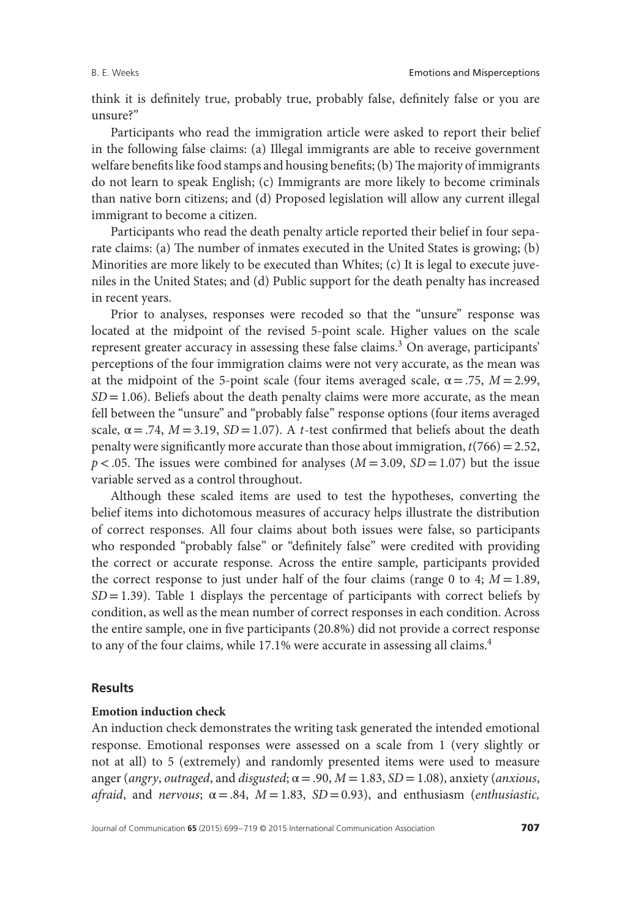think it is definitely true, probably true, probably false, definitely false or you are unsure?"

Participants who read the immigration article were asked to report their belief in the following false claims: (a) Illegal immigrants are able to receive government welfare benefits like food stamps and housing benefits; (b) The majority of immigrants do not learn to speak English; (c) Immigrants are more likely to become criminals than native born citizens; and (d) Proposed legislation will allow any current illegal immigrant to become a citizen.

Participants who read the death penalty article reported their belief in four separate claims: (a) The number of inmates executed in the United States is growing; (b) Minorities are more likely to be executed than Whites; (c) It is legal to execute juveniles in the United States; and (d) Public support for the death penalty has increased in recent years.

Prior to analyses, responses were recoded so that the "unsure" response was located at the midpoint of the revised 5-point scale. Higher values on the scale represent greater accuracy in assessing these false claims.<sup>3</sup> On average, participants' perceptions of the four immigration claims were not very accurate, as the mean was at the midpoint of the 5-point scale (four items averaged scale,  $\alpha = .75$ ,  $M = 2.99$ , *SD* = 1.06). Beliefs about the death penalty claims were more accurate, as the mean fell between the "unsure" and "probably false" response options (four items averaged scale,  $\alpha = .74$ ,  $M = 3.19$ ,  $SD = 1.07$ ). A *t*-test confirmed that beliefs about the death penalty were significantly more accurate than those about immigration,  $t(766)=2.52$ ,  $p < .05$ . The issues were combined for analyses ( $M = 3.09$ ,  $SD = 1.07$ ) but the issue variable served as a control throughout.

Although these scaled items are used to test the hypotheses, converting the belief items into dichotomous measures of accuracy helps illustrate the distribution of correct responses. All four claims about both issues were false, so participants who responded "probably false" or "definitely false" were credited with providing the correct or accurate response. Across the entire sample, participants provided the correct response to just under half of the four claims (range 0 to 4;  $M = 1.89$ ,  $SD = 1.39$ ). Table 1 displays the percentage of participants with correct beliefs by condition, as well as the mean number of correct responses in each condition. Across the entire sample, one in five participants (20.8%) did not provide a correct response to any of the four claims, while 17.1% were accurate in assessing all claims.<sup>4</sup>

#### **Results**

# **Emotion induction check**

An induction check demonstrates the writing task generated the intended emotional response. Emotional responses were assessed on a scale from 1 (very slightly or not at all) to 5 (extremely) and randomly presented items were used to measure anger (*angry*, *outraged*, and *disgusted*; α =.90, *M* =1.83, *SD* =1.08), anxiety (*anxious*, *afraid*, and *nervous*;  $\alpha = .84$ ,  $M = 1.83$ ,  $SD = 0.93$ ), and enthusiasm (*enthusiastic*,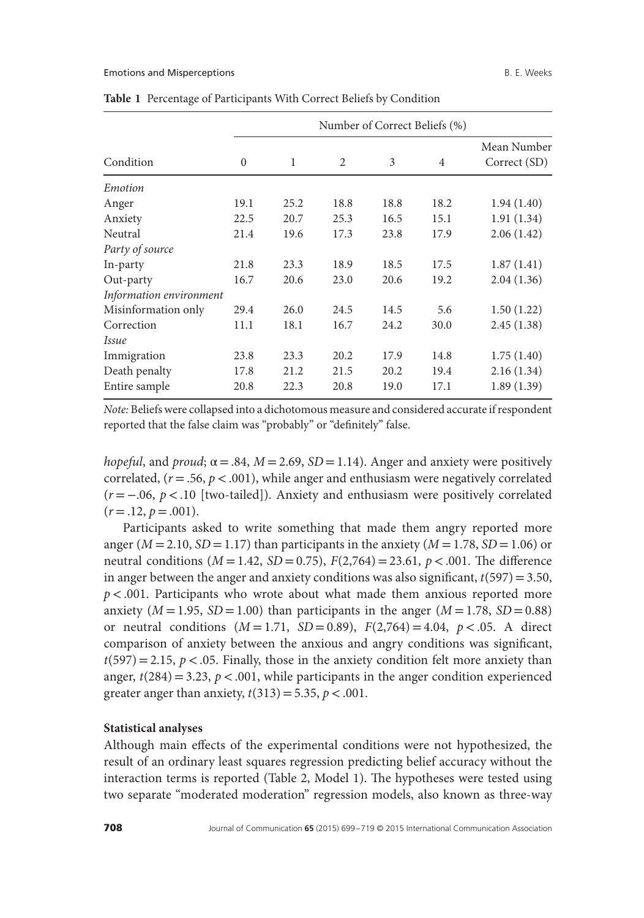#### Emotions and Misperceptions **B. E. Weeks** B. E. Weeks

|                         | Number of Correct Beliefs (%) |      |      |      |                |                             |  |
|-------------------------|-------------------------------|------|------|------|----------------|-----------------------------|--|
| Condition               | $\Omega$                      | 1    | 2    | 3    | $\overline{4}$ | Mean Number<br>Correct (SD) |  |
| Emotion                 |                               |      |      |      |                |                             |  |
| Anger                   | 19.1                          | 25.2 | 18.8 | 18.8 | 18.2           | 1.94(1.40)                  |  |
| Anxiety                 | 22.5                          | 20.7 | 25.3 | 16.5 | 15.1           | 1.91(1.34)                  |  |
| Neutral                 | 21.4                          | 19.6 | 17.3 | 23.8 | 17.9           | 2.06(1.42)                  |  |
| Party of source         |                               |      |      |      |                |                             |  |
| In-party                | 21.8                          | 23.3 | 18.9 | 18.5 | 17.5           | 1.87(1.41)                  |  |
| Out-party               | 16.7                          | 20.6 | 23.0 | 20.6 | 19.2           | 2.04(1.36)                  |  |
| Information environment |                               |      |      |      |                |                             |  |
| Misinformation only     | 29.4                          | 26.0 | 24.5 | 14.5 | 5.6            | 1.50(1.22)                  |  |
| Correction              | 11.1                          | 18.1 | 16.7 | 24.2 | 30.0           | 2.45(1.38)                  |  |
| <i>Issue</i>            |                               |      |      |      |                |                             |  |
| Immigration             | 23.8                          | 23.3 | 20.2 | 17.9 | 14.8           | 1.75(1.40)                  |  |
| Death penalty           | 17.8                          | 21.2 | 21.5 | 20.2 | 19.4           | 2.16(1.34)                  |  |
| Entire sample           | 20.8                          | 22.3 | 20.8 | 19.0 | 17.1           | 1.89(1.39)                  |  |

**Table 1** Percentage of Participants With Correct Beliefs by Condition

*Note:* Beliefs were collapsed into a dichotomous measure and considered accurate if respondent reported that the false claim was "probably" or "definitely" false.

*hopeful*, and *proud*;  $\alpha = .84$ ,  $M = 2.69$ ,  $SD = 1.14$ ). Anger and anxiety were positively correlated,  $(r = .56, p < .001)$ , while anger and enthusiasm were negatively correlated (*r* = −.06, *p<*.10 [two-tailed]). Anxiety and enthusiasm were positively correlated  $(r=.12, p=.001).$ 

Participants asked to write something that made them angry reported more anger ( $M = 2.10$ ,  $SD = 1.17$ ) than participants in the anxiety ( $M = 1.78$ ,  $SD = 1.06$ ) or neutral conditions (*M* =1.42, *SD* =0.75), *F*(2,764)=23.61, *p<*.001. The difference in anger between the anger and anxiety conditions was also significant,  $t(597)=3.50$ , *p<*.001. Participants who wrote about what made them anxious reported more anxiety ( $M = 1.95$ ,  $SD = 1.00$ ) than participants in the anger ( $M = 1.78$ ,  $SD = 0.88$ ) or neutral conditions  $(M = 1.71, SD = 0.89)$ ,  $F(2,764) = 4.04$ ,  $p < .05$ . A direct comparison of anxiety between the anxious and angry conditions was significant,  $t(597) = 2.15$ ,  $p < .05$ . Finally, those in the anxiety condition felt more anxiety than anger,  $t(284) = 3.23$ ,  $p < .001$ , while participants in the anger condition experienced greater anger than anxiety,  $t(313) = 5.35$ ,  $p < .001$ .

# **Statistical analyses**

Although main effects of the experimental conditions were not hypothesized, the result of an ordinary least squares regression predicting belief accuracy without the interaction terms is reported (Table 2, Model 1). The hypotheses were tested using two separate "moderated moderation" regression models, also known as three-way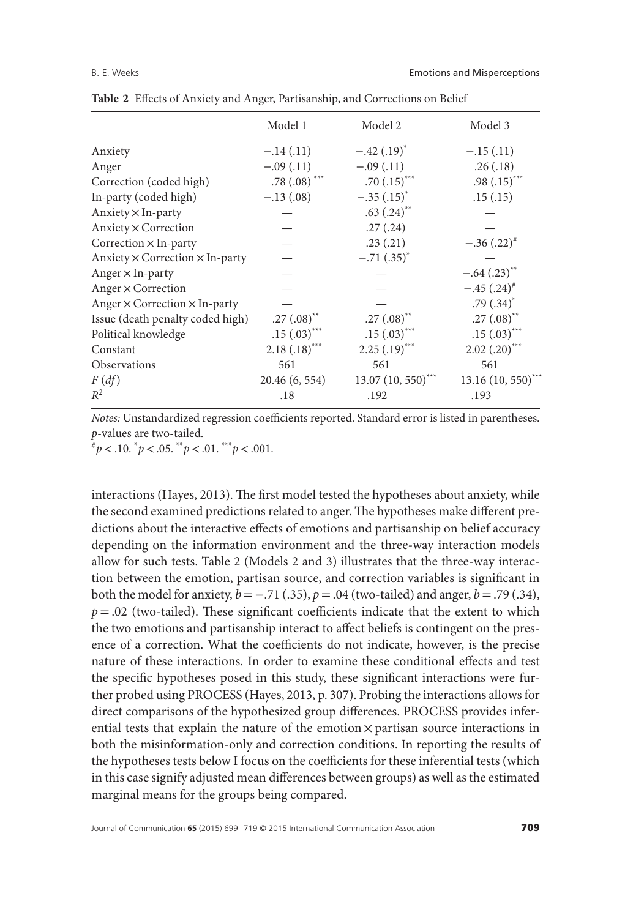|                                               | Model 1                   | Model 2                  | Model 3                         |
|-----------------------------------------------|---------------------------|--------------------------|---------------------------------|
| Anxiety                                       | $-.14(.11)$               | $-.42(.19)^*$            | $-.15(.11)$                     |
| Anger                                         | $-.09(.11)$               | $-.09(.11)$              | .26(.18)                        |
| Correction (coded high)                       | $.78(.08)$ <sup>***</sup> | $.70(.15)$ ***           | $.98(.15)$ ***                  |
| In-party (coded high)                         | $-.13(.08)$               | $-.35(.15)^*$            | .15(.15)                        |
| Anxiety $\times$ In-party                     |                           | $.63(.24)$ **            |                                 |
| Anxiety × Correction                          |                           | .27(.24)                 |                                 |
| Correction $\times$ In-party                  |                           | .23(.21)                 | $-.36(.22)^{#}$                 |
| Anxiety $\times$ Correction $\times$ In-party |                           | $-.71(.35)^*$            |                                 |
| Anger $\times$ In-party                       |                           |                          | $-.64(.23)$ <sup>**</sup>       |
| Anger × Correction                            |                           |                          | $-.45(.24)$ <sup>#</sup>        |
| Anger × Correction × In-party                 |                           |                          | .79 $(.34)^*$                   |
| Issue (death penalty coded high)              | $.27(.08)$ <sup>**</sup>  | $.27(.08)$ <sup>**</sup> | $.27(.08)$ <sup>**</sup>        |
| Political knowledge                           | $.15(.03)$ ***            | $.15(.03)$ ***           | $.15(.03)$ ***                  |
| Constant                                      | $2.18(.18)$ ***           | $2.25(.19)$ ***          | $2.02$ $(.20)$ ***              |
| <b>Observations</b>                           | 561                       | 561                      | 561                             |
| $F\left( df\right)$                           | 20.46 (6, 554)            | $13.07(10, 550)$ ***     | $13.16(10, 550)$ <sup>***</sup> |
| $R^2$                                         | .18                       | .192                     | .193                            |

**Table 2** Effects of Anxiety and Anger, Partisanship, and Corrections on Belief

*Notes:* Unstandardized regression coefficients reported. Standard error is listed in parentheses. *p*-values are two-tailed.

 $^{*}p$  < .10.  $^{*}p$  < .05.  $^{*}p$  < .01.  $^{**}p$  < .001.

interactions (Hayes, 2013). The first model tested the hypotheses about anxiety, while the second examined predictions related to anger. The hypotheses make different predictions about the interactive effects of emotions and partisanship on belief accuracy depending on the information environment and the three-way interaction models allow for such tests. Table 2 (Models 2 and 3) illustrates that the three-way interaction between the emotion, partisan source, and correction variables is significant in both the model for anxiety,  $b = -0.71$  (.35),  $p = 0.04$  (two-tailed) and anger,  $b = 0.79$  (.34),  $p = .02$  (two-tailed). These significant coefficients indicate that the extent to which the two emotions and partisanship interact to affect beliefs is contingent on the presence of a correction. What the coefficients do not indicate, however, is the precise nature of these interactions. In order to examine these conditional effects and test the specific hypotheses posed in this study, these significant interactions were further probed using PROCESS (Hayes, 2013, p. 307). Probing the interactions allows for direct comparisons of the hypothesized group differences. PROCESS provides inferential tests that explain the nature of the emotion  $\times$  partisan source interactions in both the misinformation-only and correction conditions. In reporting the results of the hypotheses tests below I focus on the coefficients for these inferential tests (which in this case signify adjusted mean differences between groups) as well as the estimated marginal means for the groups being compared.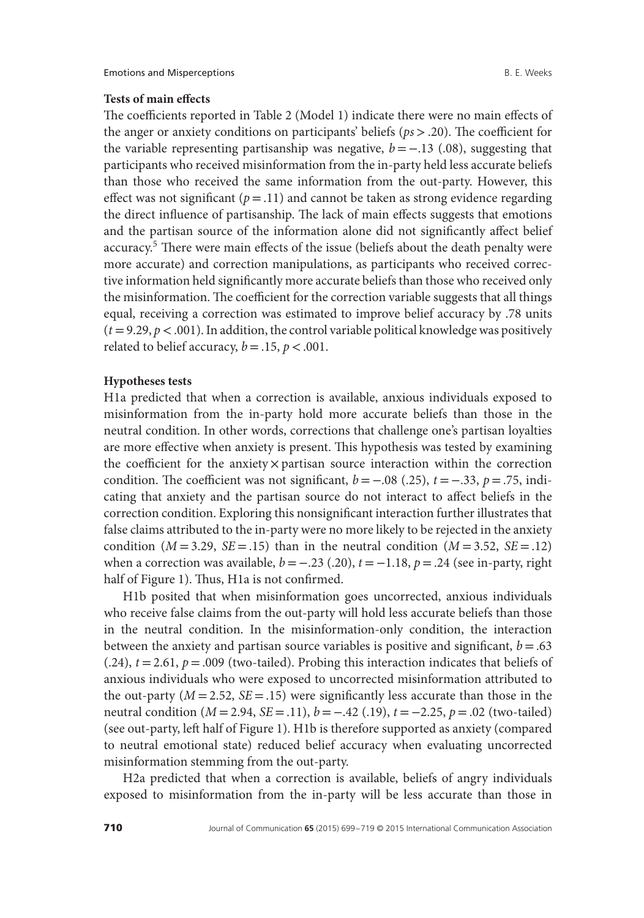# **Tests of main effects**

The coefficients reported in Table 2 (Model 1) indicate there were no main effects of the anger or anxiety conditions on participants' beliefs (*ps>*.20). The coefficient for the variable representing partisanship was negative,  $b = -.13$  (.08), suggesting that participants who received misinformation from the in-party held less accurate beliefs than those who received the same information from the out-party. However, this effect was not significant  $(p = .11)$  and cannot be taken as strong evidence regarding the direct influence of partisanship. The lack of main effects suggests that emotions and the partisan source of the information alone did not significantly affect belief accuracy.<sup>5</sup> There were main effects of the issue (beliefs about the death penalty were more accurate) and correction manipulations, as participants who received corrective information held significantly more accurate beliefs than those who received only the misinformation. The coefficient for the correction variable suggests that all things equal, receiving a correction was estimated to improve belief accuracy by .78 units  $(t = 9.29, p < .001)$ . In addition, the control variable political knowledge was positively related to belief accuracy,  $b = .15$ ,  $p < .001$ .

# **Hypotheses tests**

H1a predicted that when a correction is available, anxious individuals exposed to misinformation from the in-party hold more accurate beliefs than those in the neutral condition. In other words, corrections that challenge one's partisan loyalties are more effective when anxiety is present. This hypothesis was tested by examining the coefficient for the anxiety  $\times$  partisan source interaction within the correction condition. The coefficient was not significant,  $b = -.08$  (.25),  $t = -.33$ ,  $p = .75$ , indicating that anxiety and the partisan source do not interact to affect beliefs in the correction condition. Exploring this nonsignificant interaction further illustrates that false claims attributed to the in-party were no more likely to be rejected in the anxiety condition  $(M = 3.29, SE = .15)$  than in the neutral condition  $(M = 3.52, SE = .12)$ when a correction was available,  $b = -.23$  (.20),  $t = -1.18$ ,  $p = .24$  (see in-party, right half of Figure 1). Thus, H1a is not confirmed.

H1b posited that when misinformation goes uncorrected, anxious individuals who receive false claims from the out-party will hold less accurate beliefs than those in the neutral condition. In the misinformation-only condition, the interaction between the anxiety and partisan source variables is positive and significant,  $b = .63$  $(0.24)$ ,  $t = 2.61$ ,  $p = 0.009$  (two-tailed). Probing this interaction indicates that beliefs of anxious individuals who were exposed to uncorrected misinformation attributed to the out-party  $(M = 2.52, SE = .15)$  were significantly less accurate than those in the neutral condition (*M* =2.94, *SE*=.11), *b*= −.42 (.19), *t* = −2.25, *p*=.02 (two-tailed) (see out-party, left half of Figure 1). H1b is therefore supported as anxiety (compared to neutral emotional state) reduced belief accuracy when evaluating uncorrected misinformation stemming from the out-party.

H2a predicted that when a correction is available, beliefs of angry individuals exposed to misinformation from the in-party will be less accurate than those in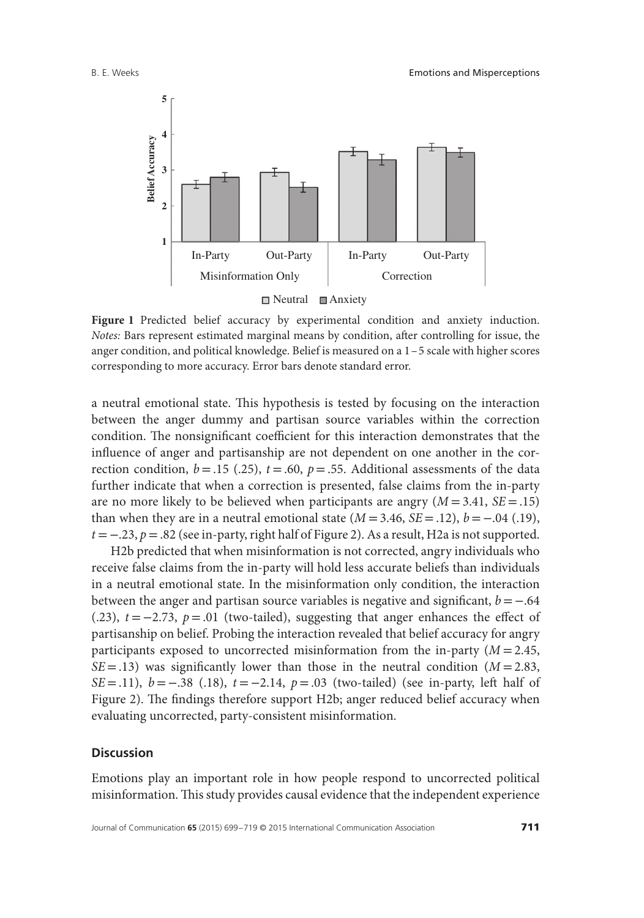

**Figure 1** Predicted belief accuracy by experimental condition and anxiety induction. *Notes:* Bars represent estimated marginal means by condition, after controlling for issue, the anger condition, and political knowledge. Belief is measured on a 1–5 scale with higher scores corresponding to more accuracy. Error bars denote standard error.

a neutral emotional state. This hypothesis is tested by focusing on the interaction between the anger dummy and partisan source variables within the correction condition. The nonsignificant coefficient for this interaction demonstrates that the influence of anger and partisanship are not dependent on one another in the correction condition,  $b = .15$  (.25),  $t = .60$ ,  $p = .55$ . Additional assessments of the data further indicate that when a correction is presented, false claims from the in-party are no more likely to be believed when participants are angry (*M* =3.41, *SE*=.15) than when they are in a neutral emotional state  $(M = 3.46, SE = .12), b = -.04$  (.19), *t* = −.23, *p*=.82 (see in-party, right half of Figure 2). As a result, H2a is not supported.

H2b predicted that when misinformation is not corrected, angry individuals who receive false claims from the in-party will hold less accurate beliefs than individuals in a neutral emotional state. In the misinformation only condition, the interaction between the anger and partisan source variables is negative and significant, *b*= −.64 (.23),  $t = -2.73$ ,  $p = .01$  (two-tailed), suggesting that anger enhances the effect of partisanship on belief. Probing the interaction revealed that belief accuracy for angry participants exposed to uncorrected misinformation from the in-party  $(M = 2.45)$ ,  $SE = .13$ ) was significantly lower than those in the neutral condition ( $M = 2.83$ , *SE* = .11), *b* = −.38 (.18), *t* = −2.14, *p* = .03 (two-tailed) (see in-party, left half of Figure 2). The findings therefore support H2b; anger reduced belief accuracy when evaluating uncorrected, party-consistent misinformation.

# **Discussion**

Emotions play an important role in how people respond to uncorrected political misinformation. This study provides causal evidence that the independent experience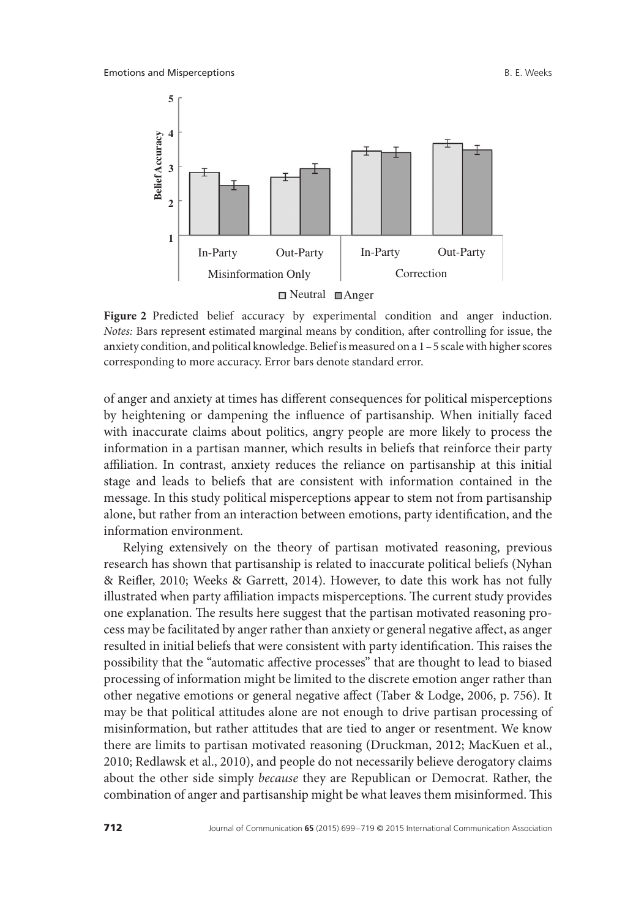

**Figure 2** Predicted belief accuracy by experimental condition and anger induction. *Notes:* Bars represent estimated marginal means by condition, after controlling for issue, the anxiety condition, and political knowledge. Belief is measured on a 1–5 scale with higher scores corresponding to more accuracy. Error bars denote standard error.

of anger and anxiety at times has different consequences for political misperceptions by heightening or dampening the influence of partisanship. When initially faced with inaccurate claims about politics, angry people are more likely to process the information in a partisan manner, which results in beliefs that reinforce their party affiliation. In contrast, anxiety reduces the reliance on partisanship at this initial stage and leads to beliefs that are consistent with information contained in the message. In this study political misperceptions appear to stem not from partisanship alone, but rather from an interaction between emotions, party identification, and the information environment.

Relying extensively on the theory of partisan motivated reasoning, previous research has shown that partisanship is related to inaccurate political beliefs (Nyhan & Reifler, 2010; Weeks & Garrett, 2014). However, to date this work has not fully illustrated when party affiliation impacts misperceptions. The current study provides one explanation. The results here suggest that the partisan motivated reasoning process may be facilitated by anger rather than anxiety or general negative affect, as anger resulted in initial beliefs that were consistent with party identification. This raises the possibility that the "automatic affective processes" that are thought to lead to biased processing of information might be limited to the discrete emotion anger rather than other negative emotions or general negative affect (Taber & Lodge, 2006, p. 756). It may be that political attitudes alone are not enough to drive partisan processing of misinformation, but rather attitudes that are tied to anger or resentment. We know there are limits to partisan motivated reasoning (Druckman, 2012; MacKuen et al., 2010; Redlawsk et al., 2010), and people do not necessarily believe derogatory claims about the other side simply *because* they are Republican or Democrat. Rather, the combination of anger and partisanship might be what leaves them misinformed. This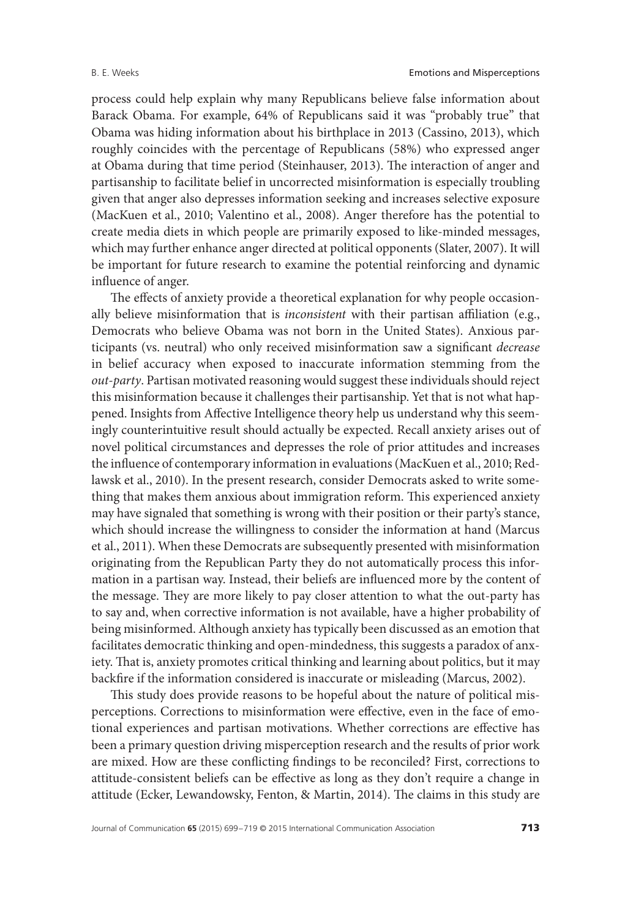process could help explain why many Republicans believe false information about Barack Obama. For example, 64% of Republicans said it was "probably true" that Obama was hiding information about his birthplace in 2013 (Cassino, 2013), which roughly coincides with the percentage of Republicans (58%) who expressed anger at Obama during that time period (Steinhauser, 2013). The interaction of anger and partisanship to facilitate belief in uncorrected misinformation is especially troubling given that anger also depresses information seeking and increases selective exposure (MacKuen et al., 2010; Valentino et al., 2008). Anger therefore has the potential to create media diets in which people are primarily exposed to like-minded messages, which may further enhance anger directed at political opponents (Slater, 2007). It will be important for future research to examine the potential reinforcing and dynamic influence of anger.

The effects of anxiety provide a theoretical explanation for why people occasionally believe misinformation that is *inconsistent* with their partisan affiliation (e.g., Democrats who believe Obama was not born in the United States). Anxious participants (vs. neutral) who only received misinformation saw a significant *decrease* in belief accuracy when exposed to inaccurate information stemming from the *out-party*. Partisan motivated reasoning would suggest these individuals should reject this misinformation because it challenges their partisanship. Yet that is not what happened. Insights from Affective Intelligence theory help us understand why this seemingly counterintuitive result should actually be expected. Recall anxiety arises out of novel political circumstances and depresses the role of prior attitudes and increases the influence of contemporary information in evaluations (MacKuen et al., 2010; Redlawsk et al., 2010). In the present research, consider Democrats asked to write something that makes them anxious about immigration reform. This experienced anxiety may have signaled that something is wrong with their position or their party's stance, which should increase the willingness to consider the information at hand (Marcus et al., 2011). When these Democrats are subsequently presented with misinformation originating from the Republican Party they do not automatically process this information in a partisan way. Instead, their beliefs are influenced more by the content of the message. They are more likely to pay closer attention to what the out-party has to say and, when corrective information is not available, have a higher probability of being misinformed. Although anxiety has typically been discussed as an emotion that facilitates democratic thinking and open-mindedness, this suggests a paradox of anxiety. That is, anxiety promotes critical thinking and learning about politics, but it may backfire if the information considered is inaccurate or misleading (Marcus, 2002).

This study does provide reasons to be hopeful about the nature of political misperceptions. Corrections to misinformation were effective, even in the face of emotional experiences and partisan motivations. Whether corrections are effective has been a primary question driving misperception research and the results of prior work are mixed. How are these conflicting findings to be reconciled? First, corrections to attitude-consistent beliefs can be effective as long as they don't require a change in attitude (Ecker, Lewandowsky, Fenton, & Martin, 2014). The claims in this study are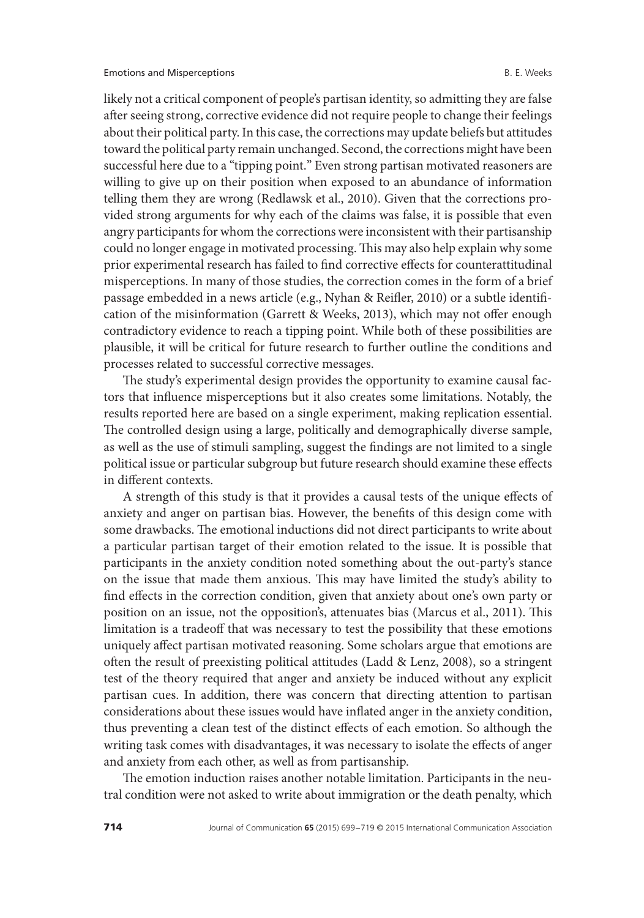#### Emotions and Misperceptions **B. E. Weeks** B. E. Weeks

likely not a critical component of people's partisan identity, so admitting they are false after seeing strong, corrective evidence did not require people to change their feelings about their political party. In this case, the corrections may update beliefs but attitudes toward the political party remain unchanged. Second, the corrections might have been successful here due to a "tipping point." Even strong partisan motivated reasoners are willing to give up on their position when exposed to an abundance of information telling them they are wrong (Redlawsk et al., 2010). Given that the corrections provided strong arguments for why each of the claims was false, it is possible that even angry participants for whom the corrections were inconsistent with their partisanship could no longer engage in motivated processing. This may also help explain why some prior experimental research has failed to find corrective effects for counterattitudinal misperceptions. In many of those studies, the correction comes in the form of a brief passage embedded in a news article (e.g., Nyhan & Reifler, 2010) or a subtle identification of the misinformation (Garrett & Weeks, 2013), which may not offer enough contradictory evidence to reach a tipping point. While both of these possibilities are plausible, it will be critical for future research to further outline the conditions and processes related to successful corrective messages.

The study's experimental design provides the opportunity to examine causal factors that influence misperceptions but it also creates some limitations. Notably, the results reported here are based on a single experiment, making replication essential. The controlled design using a large, politically and demographically diverse sample, as well as the use of stimuli sampling, suggest the findings are not limited to a single political issue or particular subgroup but future research should examine these effects in different contexts.

A strength of this study is that it provides a causal tests of the unique effects of anxiety and anger on partisan bias. However, the benefits of this design come with some drawbacks. The emotional inductions did not direct participants to write about a particular partisan target of their emotion related to the issue. It is possible that participants in the anxiety condition noted something about the out-party's stance on the issue that made them anxious. This may have limited the study's ability to find effects in the correction condition, given that anxiety about one's own party or position on an issue, not the opposition's, attenuates bias (Marcus et al., 2011). This limitation is a tradeoff that was necessary to test the possibility that these emotions uniquely affect partisan motivated reasoning. Some scholars argue that emotions are often the result of preexisting political attitudes (Ladd & Lenz, 2008), so a stringent test of the theory required that anger and anxiety be induced without any explicit partisan cues. In addition, there was concern that directing attention to partisan considerations about these issues would have inflated anger in the anxiety condition, thus preventing a clean test of the distinct effects of each emotion. So although the writing task comes with disadvantages, it was necessary to isolate the effects of anger and anxiety from each other, as well as from partisanship.

The emotion induction raises another notable limitation. Participants in the neutral condition were not asked to write about immigration or the death penalty, which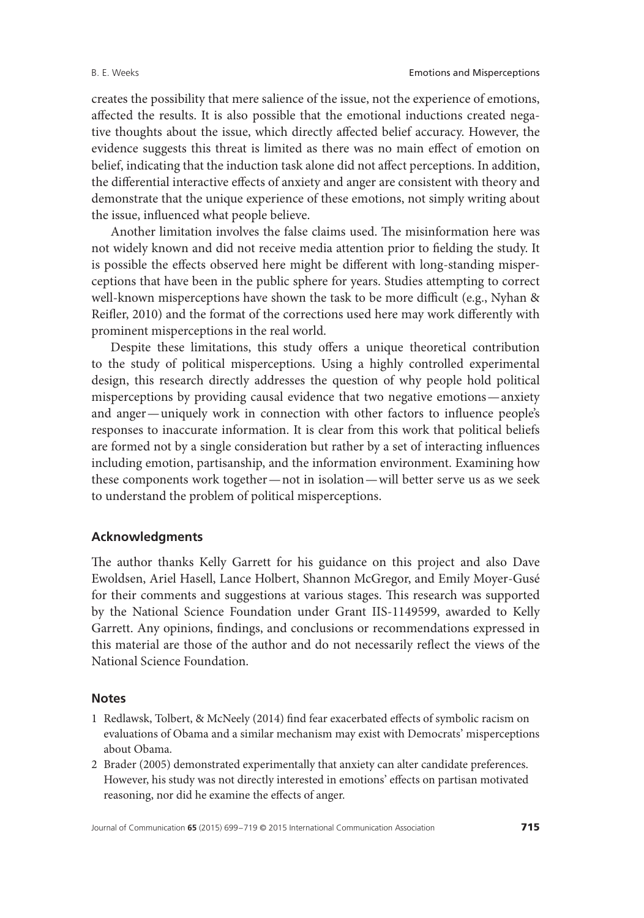creates the possibility that mere salience of the issue, not the experience of emotions, affected the results. It is also possible that the emotional inductions created negative thoughts about the issue, which directly affected belief accuracy. However, the evidence suggests this threat is limited as there was no main effect of emotion on belief, indicating that the induction task alone did not affect perceptions. In addition, the differential interactive effects of anxiety and anger are consistent with theory and demonstrate that the unique experience of these emotions, not simply writing about the issue, influenced what people believe.

Another limitation involves the false claims used. The misinformation here was not widely known and did not receive media attention prior to fielding the study. It is possible the effects observed here might be different with long-standing misperceptions that have been in the public sphere for years. Studies attempting to correct well-known misperceptions have shown the task to be more difficult (e.g., Nyhan & Reifler, 2010) and the format of the corrections used here may work differently with prominent misperceptions in the real world.

Despite these limitations, this study offers a unique theoretical contribution to the study of political misperceptions. Using a highly controlled experimental design, this research directly addresses the question of why people hold political misperceptions by providing causal evidence that two negative emotions—anxiety and anger—uniquely work in connection with other factors to influence people's responses to inaccurate information. It is clear from this work that political beliefs are formed not by a single consideration but rather by a set of interacting influences including emotion, partisanship, and the information environment. Examining how these components work together—not in isolation—will better serve us as we seek to understand the problem of political misperceptions.

# **Acknowledgments**

The author thanks Kelly Garrett for his guidance on this project and also Dave Ewoldsen, Ariel Hasell, Lance Holbert, Shannon McGregor, and Emily Moyer-Gusé for their comments and suggestions at various stages. This research was supported by the National Science Foundation under Grant IIS-1149599, awarded to Kelly Garrett. Any opinions, findings, and conclusions or recommendations expressed in this material are those of the author and do not necessarily reflect the views of the National Science Foundation.

### **Notes**

- 1 Redlawsk, Tolbert, & McNeely (2014) find fear exacerbated effects of symbolic racism on evaluations of Obama and a similar mechanism may exist with Democrats' misperceptions about Obama.
- 2 Brader (2005) demonstrated experimentally that anxiety can alter candidate preferences. However, his study was not directly interested in emotions' effects on partisan motivated reasoning, nor did he examine the effects of anger.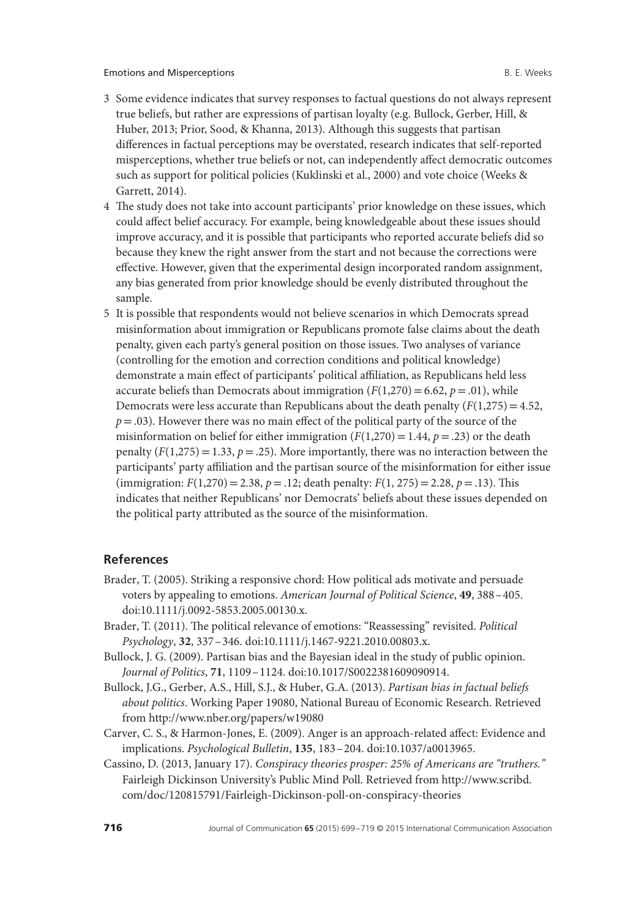- 3 Some evidence indicates that survey responses to factual questions do not always represent true beliefs, but rather are expressions of partisan loyalty (e.g. Bullock, Gerber, Hill, & Huber, 2013; Prior, Sood, & Khanna, 2013). Although this suggests that partisan differences in factual perceptions may be overstated, research indicates that self-reported misperceptions, whether true beliefs or not, can independently affect democratic outcomes such as support for political policies (Kuklinski et al., 2000) and vote choice (Weeks & Garrett, 2014).
- 4 The study does not take into account participants' prior knowledge on these issues, which could affect belief accuracy. For example, being knowledgeable about these issues should improve accuracy, and it is possible that participants who reported accurate beliefs did so because they knew the right answer from the start and not because the corrections were effective. However, given that the experimental design incorporated random assignment, any bias generated from prior knowledge should be evenly distributed throughout the sample.
- 5 It is possible that respondents would not believe scenarios in which Democrats spread misinformation about immigration or Republicans promote false claims about the death penalty, given each party's general position on those issues. Two analyses of variance (controlling for the emotion and correction conditions and political knowledge) demonstrate a main effect of participants' political affiliation, as Republicans held less accurate beliefs than Democrats about immigration  $(F(1,270) = 6.62, p = .01)$ , while Democrats were less accurate than Republicans about the death penalty  $(F(1,275)=4.52)$ ,  $p = .03$ ). However there was no main effect of the political party of the source of the misinformation on belief for either immigration  $(F(1,270) = 1.44, p = .23)$  or the death penalty  $(F(1,275)=1.33, p=.25)$ . More importantly, there was no interaction between the participants' party affiliation and the partisan source of the misinformation for either issue (immigration: *F*(1,270)=2.38, *p*=.12; death penalty: *F*(1, 275)=2.28, *p*=.13). This indicates that neither Republicans' nor Democrats' beliefs about these issues depended on the political party attributed as the source of the misinformation.

### **References**

- Brader, T. (2005). Striking a responsive chord: How political ads motivate and persuade voters by appealing to emotions. *American Journal of Political Science*, **49**, 388–405. doi:10.1111/j.0092-5853.2005.00130.x.
- Brader, T. (2011). The political relevance of emotions: "Reassessing" revisited. *Political Psychology*, **32**, 337–346. doi:10.1111/j.1467-9221.2010.00803.x.
- Bullock, J. G. (2009). Partisan bias and the Bayesian ideal in the study of public opinion. *Journal of Politics*, **71**, 1109–1124. doi:10.1017/S0022381609090914.
- Bullock, J.G., Gerber, A.S., Hill, S.J., & Huber, G.A. (2013). *Partisan bias in factual beliefs about politics*. Working Paper 19080, National Bureau of Economic Research. Retrieved from http://www.nber.org/papers/w19080
- Carver, C. S., & Harmon-Jones, E. (2009). Anger is an approach-related affect: Evidence and implications. *Psychological Bulletin*, **135**, 183–204. doi:10.1037/a0013965.
- Cassino, D. (2013, January 17). *Conspiracy theories prosper: 25% of Americans are "truthers."* Fairleigh Dickinson University's Public Mind Poll. Retrieved from http://www.scribd. com/doc/120815791/Fairleigh-Dickinson-poll-on-conspiracy-theories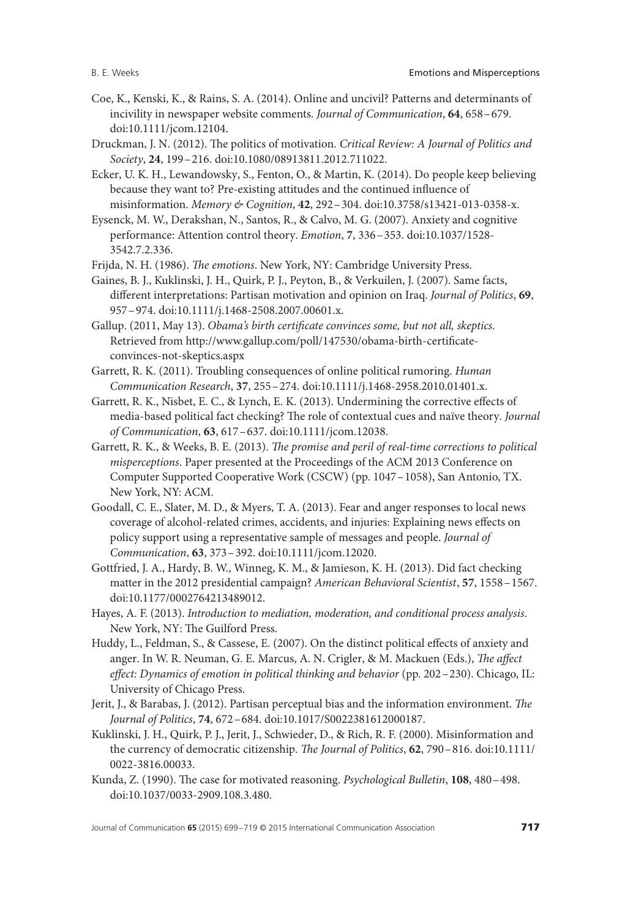- Coe, K., Kenski, K., & Rains, S. A. (2014). Online and uncivil? Patterns and determinants of incivility in newspaper website comments. *Journal of Communication*, **64**, 658–679. doi:10.1111/jcom.12104.
- Druckman, J. N. (2012). The politics of motivation. *Critical Review: A Journal of Politics and Society*, **24**, 199–216. doi:10.1080/08913811.2012.711022.
- Ecker, U. K. H., Lewandowsky, S., Fenton, O., & Martin, K. (2014). Do people keep believing because they want to? Pre-existing attitudes and the continued influence of misinformation. *Memory & Cognition*, **42**, 292–304. doi:10.3758/s13421-013-0358-x.
- Eysenck, M. W., Derakshan, N., Santos, R., & Calvo, M. G. (2007). Anxiety and cognitive performance: Attention control theory. *Emotion*, **7**, 336–353. doi:10.1037/1528- 3542.7.2.336.
- Frijda, N. H. (1986). *The emotions*. New York, NY: Cambridge University Press.
- Gaines, B. J., Kuklinski, J. H., Quirk, P. J., Peyton, B., & Verkuilen, J. (2007). Same facts, different interpretations: Partisan motivation and opinion on Iraq. *Journal of Politics*, **69**, 957–974. doi:10.1111/j.1468-2508.2007.00601.x.
- Gallup. (2011, May 13). *Obama's birth certificate convinces some, but not all, skeptics.* Retrieved from http://www.gallup.com/poll/147530/obama-birth-certificateconvinces-not-skeptics.aspx
- Garrett, R. K. (2011). Troubling consequences of online political rumoring. *Human Communication Research*, **37**, 255–274. doi:10.1111/j.1468-2958.2010.01401.x.
- Garrett, R. K., Nisbet, E. C., & Lynch, E. K. (2013). Undermining the corrective effects of media-based political fact checking? The role of contextual cues and naïve theory. *Journal of Communication*, **63**, 617–637. doi:10.1111/jcom.12038.
- Garrett, R. K., & Weeks, B. E. (2013). *The promise and peril of real-time corrections to political misperceptions*. Paper presented at the Proceedings of the ACM 2013 Conference on Computer Supported Cooperative Work (CSCW) (pp. 1047–1058), San Antonio, TX. New York, NY: ACM.
- Goodall, C. E., Slater, M. D., & Myers, T. A. (2013). Fear and anger responses to local news coverage of alcohol-related crimes, accidents, and injuries: Explaining news effects on policy support using a representative sample of messages and people. *Journal of Communication*, **63**, 373–392. doi:10.1111/jcom.12020.
- Gottfried, J. A., Hardy, B. W., Winneg, K. M., & Jamieson, K. H. (2013). Did fact checking matter in the 2012 presidential campaign? *American Behavioral Scientist*, **57**, 1558–1567. doi:10.1177/0002764213489012.
- Hayes, A. F. (2013). *Introduction to mediation, moderation, and conditional process analysis*. New York, NY: The Guilford Press.
- Huddy, L., Feldman, S., & Cassese, E. (2007). On the distinct political effects of anxiety and anger. In W. R. Neuman, G. E. Marcus, A. N. Crigler, & M. Mackuen (Eds.), *The affect effect: Dynamics of emotion in political thinking and behavior* (pp. 202–230). Chicago, IL: University of Chicago Press.
- Jerit, J., & Barabas, J. (2012). Partisan perceptual bias and the information environment. *The Journal of Politics*, **74**, 672–684. doi:10.1017/S0022381612000187.
- Kuklinski, J. H., Quirk, P. J., Jerit, J., Schwieder, D., & Rich, R. F. (2000). Misinformation and the currency of democratic citizenship. *The Journal of Politics*, **62**, 790–816. doi:10.1111/ 0022-3816.00033.
- Kunda, Z. (1990). The case for motivated reasoning. *Psychological Bulletin*, **108**, 480–498. doi:10.1037/0033-2909.108.3.480.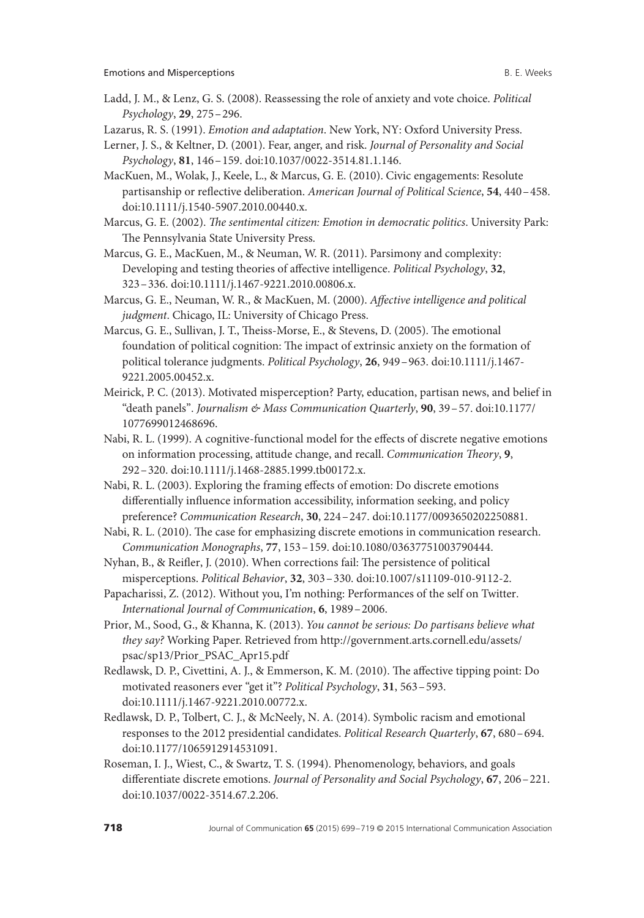- Ladd, J. M., & Lenz, G. S. (2008). Reassessing the role of anxiety and vote choice. *Political Psychology*, **29**, 275–296.
- Lazarus, R. S. (1991). *Emotion and adaptation*. New York, NY: Oxford University Press.
- Lerner, J. S., & Keltner, D. (2001). Fear, anger, and risk. *Journal of Personality and Social Psychology*, **81**, 146–159. doi:10.1037/0022-3514.81.1.146.
- MacKuen, M., Wolak, J., Keele, L., & Marcus, G. E. (2010). Civic engagements: Resolute partisanship or reflective deliberation. *American Journal of Political Science*, **54**, 440–458. doi:10.1111/j.1540-5907.2010.00440.x.
- Marcus, G. E. (2002). *The sentimental citizen: Emotion in democratic politics*. University Park: The Pennsylvania State University Press.
- Marcus, G. E., MacKuen, M., & Neuman, W. R. (2011). Parsimony and complexity: Developing and testing theories of affective intelligence. *Political Psychology*, **32**, 323–336. doi:10.1111/j.1467-9221.2010.00806.x.
- Marcus, G. E., Neuman, W. R., & MacKuen, M. (2000). *Affective intelligence and political judgment*. Chicago, IL: University of Chicago Press.
- Marcus, G. E., Sullivan, J. T., Theiss-Morse, E., & Stevens, D. (2005). The emotional foundation of political cognition: The impact of extrinsic anxiety on the formation of political tolerance judgments. *Political Psychology*, **26**, 949–963. doi:10.1111/j.1467- 9221.2005.00452.x.
- Meirick, P. C. (2013). Motivated misperception? Party, education, partisan news, and belief in "death panels". *Journalism & Mass Communication Quarterly*, **90**, 39–57. doi:10.1177/ 1077699012468696.
- Nabi, R. L. (1999). A cognitive-functional model for the effects of discrete negative emotions on information processing, attitude change, and recall. *Communication Theory*, **9**, 292–320. doi:10.1111/j.1468-2885.1999.tb00172.x.
- Nabi, R. L. (2003). Exploring the framing effects of emotion: Do discrete emotions differentially influence information accessibility, information seeking, and policy preference? *Communication Research*, **30**, 224–247. doi:10.1177/0093650202250881.
- Nabi, R. L. (2010). The case for emphasizing discrete emotions in communication research. *Communication Monographs*, **77**, 153–159. doi:10.1080/03637751003790444.
- Nyhan, B., & Reifler, J. (2010). When corrections fail: The persistence of political misperceptions. *Political Behavior*, **32**, 303–330. doi:10.1007/s11109-010-9112-2.
- Papacharissi, Z. (2012). Without you, I'm nothing: Performances of the self on Twitter. *International Journal of Communication*, **6**, 1989–2006.
- Prior, M., Sood, G., & Khanna, K. (2013). *You cannot be serious: Do partisans believe what they say?* Working Paper. Retrieved from http://government.arts.cornell.edu/assets/ psac/sp13/Prior\_PSAC\_Apr15.pdf
- Redlawsk, D. P., Civettini, A. J., & Emmerson, K. M. (2010). The affective tipping point: Do motivated reasoners ever "get it"? *Political Psychology*, **31**, 563–593. doi:10.1111/j.1467-9221.2010.00772.x.
- Redlawsk, D. P., Tolbert, C. J., & McNeely, N. A. (2014). Symbolic racism and emotional responses to the 2012 presidential candidates. *Political Research Quarterly*, **67**, 680–694. doi:10.1177/1065912914531091.
- Roseman, I. J., Wiest, C., & Swartz, T. S. (1994). Phenomenology, behaviors, and goals differentiate discrete emotions. *Journal of Personality and Social Psychology*, **67**, 206–221. doi:10.1037/0022-3514.67.2.206.